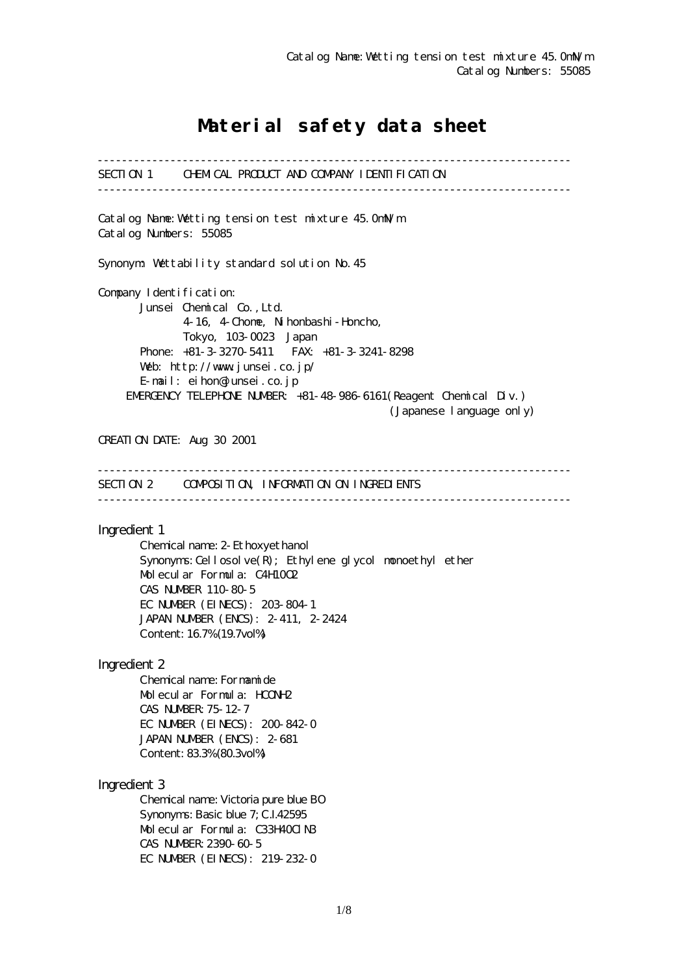# Material safety data sheet

------------------------------------------------------------------------------ SECTION 1 CHEMICAL PRODUCT AND COMPANY IDENTIFICATION ------------------------------------------------------------------------------ Catalog Name:Wetting tension test mixture 45.0mN/m Catalog Numbers: 55085 Synonym: Wettability standard solution No.45 Company I dentification: Junsei Chemical Co.,Ltd. 4-16, 4-Chome, Nihonbashi-Honcho, Tokyo, 103-0023 Japan Phone: +81-3-3270-5411 FAX: +81-3-3241-8298 Web: http://www.junsei.co.jp/ E-mail: eihon@junsei.co.jp EMERGENCY TELEPHONE NUMBER: +81-48-986-6161(Reagent Chemical Div.) (Japanese language only) CREATION DATE: Aug 30 2001 ------------------------------------------------------------------------------ SECTION 2 COMPOSITION, INFORMATION ON INGREDIENTS ------------------------------------------------------------------------------ Ingredient 1 Chemical name: 2-Ethoxyethanol Synonyms: Cellosolve $(R)$ ; Ethylene glycol monoethyl ether Molecular Formula: C4H10O2 CAS NUMBER 110-80-5 EC NUMBER (EINECS): 203-804-1 JAPAN NUMBER (ENCS): 2-411, 2-2424 Content: 16.7% (19.7vol%) Ingredient 2 Chemical name: Formamide Molecular Formula: HCONH2 CAS NUMBER:75-12-7 EC NUMBER (EINECS): 200-842-0 JAPAN NUMBER (ENCS): 2-681 Content: 83.3% (80.3vol%) Ingredient 3 Chemical name: Victoria pure blue BO Synonyms: Basic blue 7; C.I.42595 Molecular Formula: C33H40ClN3 CAS NUMBER:2390-60-5 EC NUMBER (EINECS): 219-232-0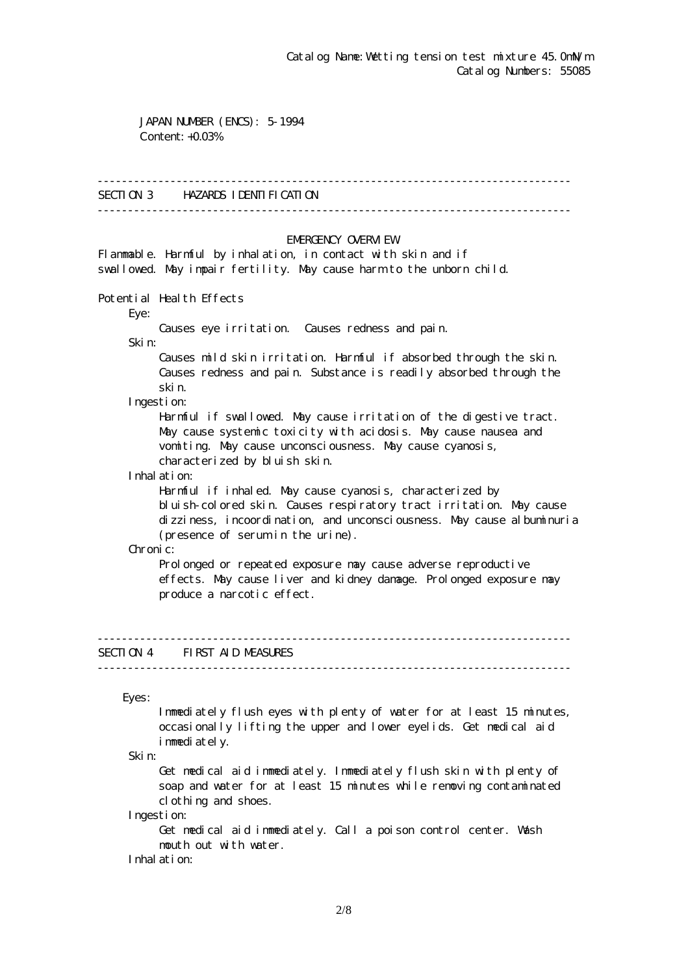JAPAN NUMBER (ENCS): 5-1994 Content: +0.03%

#### ------------------------------------------------------------------------------

### SECTION 3 HAZARDS IDENTIFICATION

------------------------------------------------------------------------------

#### EMERGENCY CAERM EW

Flammable. Harmful by inhalation, in contact with skin and if swallowed. May impair fertility. May cause harm to the unborn child.

Potential Health Effects

Eye:

Causes eye irritation. Causes redness and pain.

Skin:

 Causes mild skin irritation. Harmful if absorbed through the skin. Causes redness and pain. Substance is readily absorbed through the skin.

Ingestion:

 Harmful if swallowed. May cause irritation of the digestive tract. May cause systemic toxicity with acidosis. May cause nausea and vomiting. May cause unconsciousness. May cause cyanosis, characterized by bluish skin.

Inhalation:

 Harmful if inhaled. May cause cyanosis, characterized by bluish-colored skin. Causes respiratory tract irritation. May cause dizziness, incoordination, and unconsciousness. May cause albuminuria (presence of serum in the urine).

Chronic:

Prolonged or repeated exposure may cause adverse reproductive effects. May cause liver and kidney damage. Prolonged exposure may produce a narcotic effect.

# SECTION 4 FIRST AID MEASURES

------------------------------------------------------------------------------

------------------------------------------------------------------------------

Eyes:

 Immediately flush eyes with plenty of water for at least 15 minutes, occasionally lifting the upper and lower eyelids. Get medical aid immediately.

Skin:

 Get medical aid immediately. Immediately flush skin with plenty of soap and water for at least 15 minutes while removing contaminated clothing and shoes.

Ingestion:

 Get medical aid immediately. Call a poison control center. Wash mouth out with water.

Inhalation: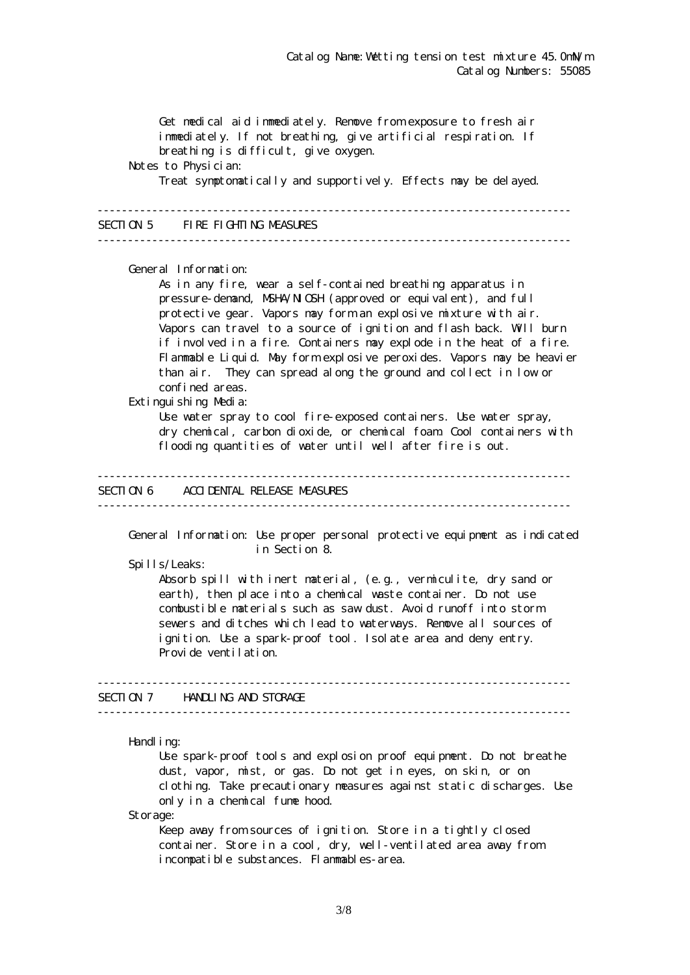Get medical aid immediately. Remove from exposure to fresh air immediately. If not breathing, give artificial respiration. If breathing is difficult, give oxygen. Notes to Physician: Treat symptomatically and supportively. Effects may be delayed. ------------------------------------------------------------------------------ SECTION 5 FIRE FIGHTING MEASURES ------------------------------------------------------------------------------ General Information: As in any fire, wear a self-contained breathing apparatus in pressure-demand, NSHA/NICSH (approved or equivalent), and full protective gear. Vapors may form an explosive mixture with air. Vapors can travel to a source of ignition and flash back. Will burn if involved in a fire. Containers may explode in the heat of a fire. Flammable Liquid. May form explosive peroxides. Vapors may be heavier than air. They can spread along the ground and collect in low or confined areas. Extinguishing Media: Use water spray to cool fire-exposed containers. Use water spray, dry chemical, carbon dioxide, or chemical foam. Cool containers with flooding quantities of water until well after fire is out. ------------------------------------------------------------------------------ SECTION 6 ACCIDENTAL RELEASE MEASURES ------------------------------------------------------------------------------ General Information: Use proper personal protective equipment as indicated in Section 8. Spills/Leaks: Absorb spill with inert material, (e.g., vermiculite, dry sand or earth), then place into a chemical waste container. Do not use combustible materials such as saw dust. Avoid runoff into storm sewers and ditches which lead to waterways. Remove all sources of ignition. Use a spark-proof tool. Isolate area and deny entry. Provide ventilation. ------------------------------------------------------------------------------ SECTION 7 HANDLING AND STORAGE ------------------------------------------------------------------------------ Handling: Use spark-proof tools and explosion proof equipment. Do not breathe dust, vapor, mist, or gas. Do not get in eyes, on skin, or on clothing. Take precautionary measures against static discharges. Use only in a chemical fume hood.

Storage:

Keep away from sources of ignition. Store in a tightly closed container. Store in a cool, dry, well-ventilated area away from incompatible substances. Flammables-area.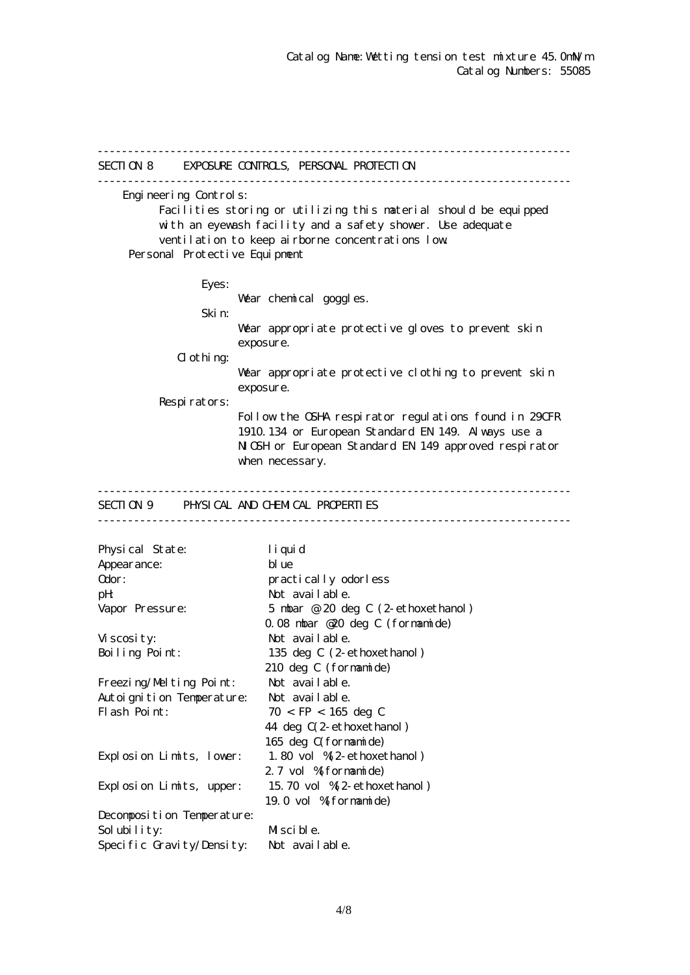------------------------------------------------------------------------------ SECTION 8 EXPOSURE CONTROLS, PERSONAL PROTECTION ------------------------------------------------------------------------------ Engineering Controls: Facilities storing or utilizing this material should be equipped with an eyewash facility and a safety shower. Use adequate ventilation to keep airborne concentrations low. Personal Protective Equipment Eyes: War chemical goggles. Skin: Wear appropriate protective gloves to prevent skin exposure.  $d$  othing: Wear appropriate protective clothing to prevent skin exposure. Respirators: Follow the OSHA respirator regulations found in 29CFR 1910.134 or European Standard EN 149. Always use a NGH or European Standard EN 149 approved respirator when necessary. ------------------------------------------------------------------------------ SECTION 9 PHYSICAL AND CHEMICAL PROPERTIES ------------------------------------------------------------------------------ Physical State: liquid Appearance: blue Odor: practically odorless pH: Not available. Vapor Pressure: 5 mbar @ 20 deg C (2-ethoxethanol) 0.08 mbar @20 deg C (formamide) Viscosity: Not available. Boiling Point: 135 deg C (2-ethoxethanol) 210 deg C (formamide) Freezing/Melting Point: Not available. Autoignition Temperature: Not available. Flash Point:  $70 <$  FP  $< 165$  deg C 44 deg C(2-ethoxethanol) 165 deg C(formamide) Explosion Limits, lower: 1.80 vol %(2-ethoxethanol) 2.7 vol % formamide) Explosion Limits, upper: 15.70 vol %(2-ethoxethanol) 19.0 vol %(formamide) Decomposition Temperature: Solubility: Miscible. Specific Gravity/Density: Not available.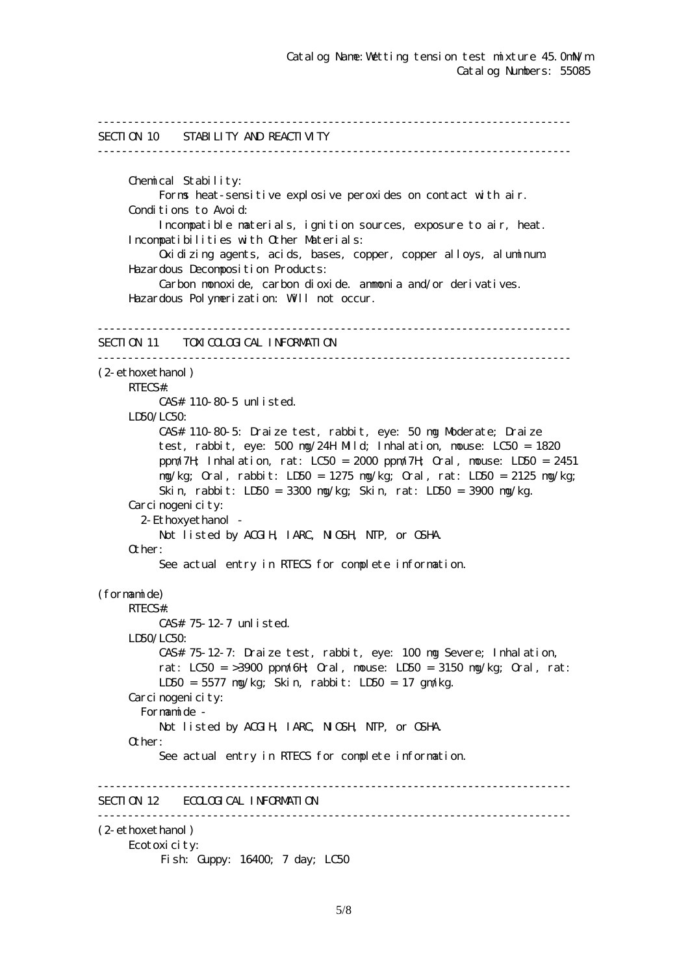```
------------------------------------------------------------------------------
SECTION 10 STABILITY AND REACTIVITY
------------------------------------------------------------------------------
      Chemical Stability:
           Forms heat-sensitive explosive peroxides on contact with air.
     Conditions to Avoid:
           Incompatible materials, ignition sources, exposure to air, heat.
      Incompatibilities with Other Materials:
           Oxidizing agents, acids, bases, copper, copper alloys, aluminum.
      Hazardous Decomposition Products:
           Carbon monoxide, carbon dioxide. ammonia and/or derivatives.
      Hazardous Polymerization: Will not occur.
------------------------------------------------------------------------------
SECTION 11 TOXICOLOGICAL INFORMATION
------------------------------------------------------------------------------
(2-ethoxethanol)
      RTECS#:
           CAS# 110-80-5 unlisted.
     LDSO/LCSO CAS# 110-80-5: Draize test, rabbit, eye: 50 mg Moderate; Draize
           test, rabbit, eye: 500 mg/24H Mild; Inhalation, mouse: LC50 = 1820
           ppm/7H; Inhalation, rat: LC50 = 2000 ppm/7H; Oral, mouse: LD50 = 2451
           mg/kg; Oral, rabbit: LD50 = 1275 mg/kg; Oral, rat: LD50 = 2125 mg/kg;
           Skin, rabbit: LD50 = 3300 mg/kg; Skin, rat: LD50 = 3900 mg/kg.
     Carcinogenicity:
        2-Ethoxyethanol -
          Not listed by ACGIH, IARC, NIGH, NTP, or CSHA.
      Other:
           See actual entry in RTECS for complete information.
(formamide)
      RTECS#:
           CAS# 75-12-7 unlisted.
      LD50/LC50:
           CAS# 75-12-7: Draize test, rabbit, eye: 100 mg Severe; Inhalation,
          rat: LC50 = 3900 ppm/6H \alphaal, nouse: LD50 = 3150 ng/kg; \alphaal, rat:
           LD50 = 5577 mg/kg; Skin, rabbit: LD50 = 17 gm/kg.
     Carcinogenicity:
        Formamide -
          Not listed by ACGIH, IARC, NICSH, NIP, or CSHA.
      Other:
           See actual entry in RTECS for complete information.
  ------------------------------------------------------------------------------
SECTION 12 ECOLOGICAL INFORMATION
------------------------------------------------------------------------------
(2-ethoxethanol)
      Ecotoxicity:
          Fish: Guppy: 16400; 7 day; LC50
```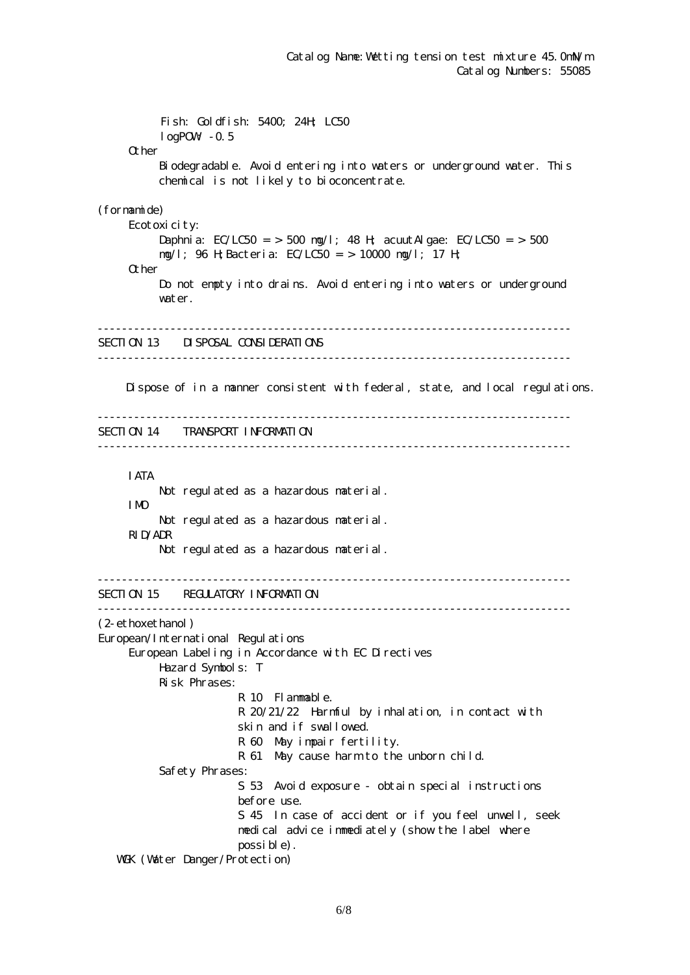Fish: Goldfish: 5400; 24H; LC50  $log$ POW $-0.5$ **Q** her Biodegradable. Avoid entering into waters or underground water. This chemical is not likely to bioconcentrate. (formamide) Ecotoxicity: Daphnia:  $EC/LC50 = 500$  ng/l; 48 H; acuut Algae:  $EC/LC50 = 500$  mg/l; 96 H;Bacteria: EC/LC50 = > 10000 mg/l; 17 H; Other Do not empty into drains. Avoid entering into waters or underground water. ------------------------------------------------------------------------------ SECTION 13 DISPOSAL CONSIDERATIONS ------------------------------------------------------------------------------ Dispose of in a manner consistent with federal, state, and local regulations. ------------------------------------------------------------------------------ SECTION 14 TRANSPORT INFORMATION ------------------------------------------------------------------------------ IATA Not regulated as a hazardous material. IMO Not regulated as a hazardous material. RID/ADR Not regulated as a hazardous material. ------------------------------------------------------------------------------ SECTION 15 REGULATORY INFORMATION ------------------------------------------------------------------------------ (2-ethoxethanol) European/International Regulations European Labeling in Accordance with EC Directives Hazard Symbols: T Risk Phrases: R 10 Flammable. R 20/21/22 Harmful by inhalation, in contact with skin and if swallowed. R 60 May impair fertility. R 61 May cause harm to the unborn child. Safety Phrases: S 53 Avoid exposure - obtain special instructions before use. S 45 In case of accident or if you feel unwell, seek medical advice immediately (show the label where possible). WGK (Water Danger/Protection)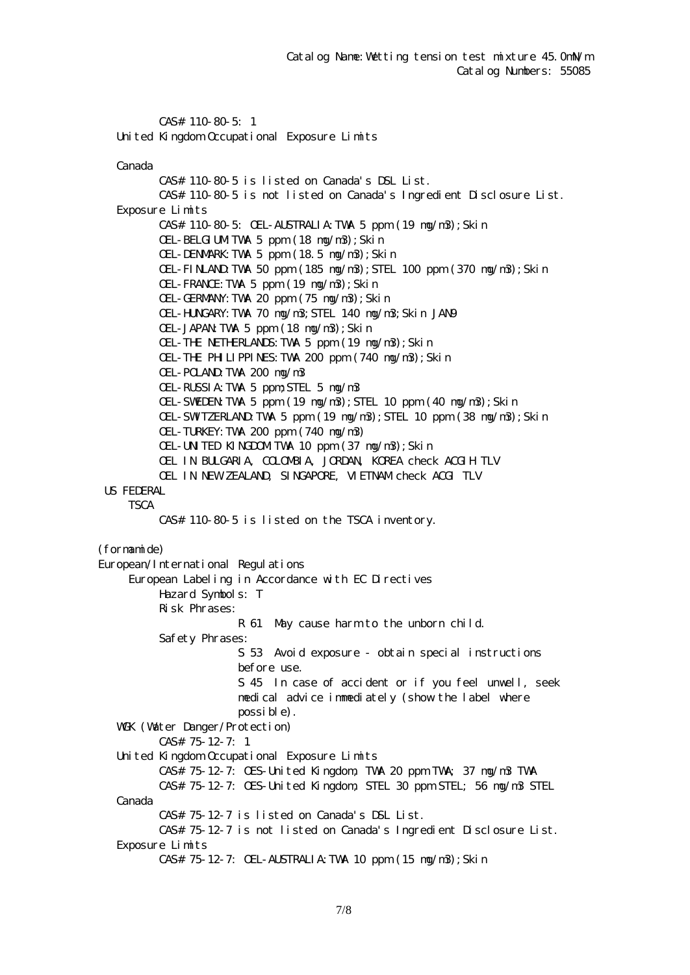CAS# 110-80-5: 1 United Kingdom Occupational Exposure Limits

Canada

 CAS# 110-80-5 is listed on Canada's DSL List. CAS# 110-80-5 is not listed on Canada's Ingredient Disclosure List. Exposure Limits CAS# 110-80-5: OEL-AUSTRALIA:TWA 5 ppm (19 mg/m3);Skin OEL-BELGIUM TWA 5 ppm  $(18 \text{ ng}/\text{m}3)$ ; Skin OEL-DENMARK:TWA 5 ppm (18.5 mg/m3);Skin OEL-FINLAND:TWA 50 ppm (185 mg/m3);STEL 100 ppm (370 mg/m3);Skin OEL-FRANCE:TWA 5 ppm (19 mg/m3);Skin OEL-GERMANY:TWA 20 ppm (75 mg/m3);Skin OEL-HUNGARY:TWA 70 mg/m3;STEL 140 mg/m3;Skin JAN9 OEL-JAPAN TWA 5 ppm  $(18 \text{ ng}/\text{m}3)$ ; Skin OEL-THE NETHERLANDS:TWA 5 ppm (19 mg/m3);Skin OEL-THE PHILIPPINES:TWA 200 ppm (740 mg/m3);Skin OEL-POLAND:TWA 200 mg/m3 OEL-RUSSIA:TWA 5 ppm;STEL 5 mg/m3 OEL-SWEDEN TWA 5 ppm (19  $mg/m3$ ); STEL 10 ppm (40  $mg/m3$ ); Skin OEL-SWIZERLAND TWA 5 ppm  $(19 \text{ ng/m3})$ ; STEL 10 ppm  $(38 \text{ ng/m3})$ ; Skin OEL-TURKEY:TWA 200 ppm (740 mg/m3) OEL-UNITED KINGDOMITWA 10 ppm (37 mg/m3); Skin OEL IN BULGARIA, COLOMBIA, JORDAN, KOREA check ACGIH TLV OEL IN NEW ZEALAND, SINGAPORE, VIETNAM check ACGI TLV US FEDERAL **TSCA**  CAS# 110-80-5 is listed on the TSCA inventory. (formamide) European/International Regulations European Labeling in Accordance with EC Directives Hazard Symbols: T Risk Phrases: R 61 May cause harm to the unborn child. Safety Phrases: S 53 Avoid exposure - obtain special instructions before use. S 45 In case of accident or if you feel unwell, seek medical advice immediately (show the label where possible). WGK (Water Danger/Protection) CAS# 75-12-7: 1 United Kingdom Occupational Exposure Limits CAS# 75-12-7: OES-United Kingdom, TWA 20 ppm TWA; 37 mg/m3 TWA CAS# 75-12-7: OES-United Kingdom, STEL 30 ppm STEL; 56 mg/m3 STEL Canada CAS# 75-12-7 is listed on Canada's DSL List. CAS# 75-12-7 is not listed on Canada's Ingredient Disclosure List. Exposure Limits CAS# 75-12-7: OEL-AUSTRALIA:TWA 10 ppm (15 mg/m3);Skin